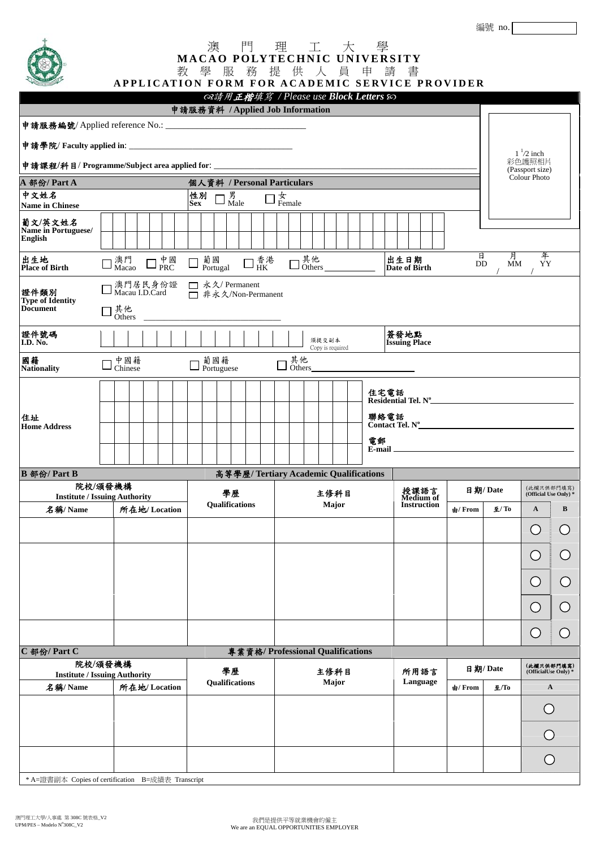## 澳 門 理 工 大 學 **MACAO POLYTECHNIC UNIVERSITY**  教 學 服 務 提 供 人 員 申 請 書

**APPLICATION FORM FOR ACADEMIC SERVICE PROVIDER**

|                                                 |                                                                                                                |                                                                                                     | ෬ま用正楷填寫 / Please use Block Letters &   |                              |                                      |                               |                                    |  |  |  |  |
|-------------------------------------------------|----------------------------------------------------------------------------------------------------------------|-----------------------------------------------------------------------------------------------------|----------------------------------------|------------------------------|--------------------------------------|-------------------------------|------------------------------------|--|--|--|--|
|                                                 |                                                                                                                | 申請服務資料 / Applied Job Information                                                                    |                                        |                              |                                      |                               |                                    |  |  |  |  |
|                                                 |                                                                                                                |                                                                                                     |                                        |                              |                                      |                               |                                    |  |  |  |  |
|                                                 |                                                                                                                |                                                                                                     |                                        |                              |                                      |                               | $1\frac{1}{2}$ inch<br>彩色護照相片      |  |  |  |  |
|                                                 |                                                                                                                | 申請課程/科目/Programme/Subject area applied for: _______________                                         |                                        |                              |                                      |                               | (Passport size)<br>Colour Photo    |  |  |  |  |
| A 部份/Part A<br>中文姓名                             | 個人資料 / Personal Particulars<br>性別                                                                              |                                                                                                     |                                        |                              |                                      |                               |                                    |  |  |  |  |
| <b>Name in Chinese</b>                          |                                                                                                                | 男<br>Male<br><b>Sex</b>                                                                             | $\frac{1}{2}$ Female                   |                              |                                      |                               |                                    |  |  |  |  |
| 葡文/英文姓名<br>Name in Portuguese/                  |                                                                                                                |                                                                                                     |                                        |                              |                                      |                               |                                    |  |  |  |  |
| <b>English</b>                                  |                                                                                                                |                                                                                                     |                                        |                              |                                      |                               |                                    |  |  |  |  |
| 出生地<br><b>Place of Birth</b>                    | $\square$ $\mathop{\mathrm{PRC}}\limits^{\mathop{\not\!\text{F}}\nolimits\mathop{\mathbb{R}C}}$<br>澳門<br>Macao | 葡國<br>$\square^{\,\text{\scriptsize \texttt{\AA}}}_{\,\text{\scriptsize HK}}$<br>$\Box$<br>Portugal | 其他<br>Others_____                      | 出生日期<br><b>Date of Birth</b> | 月<br>年<br>日<br><b>MM</b><br>YY<br>DD |                               |                                    |  |  |  |  |
| 證件類別                                            | □ 澳門居民身份證<br>□ Macau I.D.Card                                                                                  | □ 永久/ Permanent<br>□ 非永久/Non-Permanent                                                              |                                        |                              |                                      |                               |                                    |  |  |  |  |
| <b>Type of Identity</b><br><b>Document</b>      | 其他<br>Others                                                                                                   |                                                                                                     |                                        |                              |                                      |                               |                                    |  |  |  |  |
| 證件號碼<br>I.D. No.                                |                                                                                                                | 簽發地點<br>須提交副本<br><b>Issuing Place</b><br>Copy is required                                           |                                        |                              |                                      |                               |                                    |  |  |  |  |
| 國籍<br><b>Nationality</b>                        | 中國籍<br>Chinese                                                                                                 | 葡國籍<br>$\Box$ Portuguese                                                                            | 其他<br>Others                           |                              |                                      |                               |                                    |  |  |  |  |
|                                                 |                                                                                                                |                                                                                                     | 住宅電話                                   | Residential Tel. N°          |                                      |                               |                                    |  |  |  |  |
| 住址                                              |                                                                                                                | 聯絡電話<br>Contact Tel. N <sup>o</sup><br>電郵                                                           |                                        |                              |                                      |                               |                                    |  |  |  |  |
| <b>Home Address</b>                             |                                                                                                                |                                                                                                     |                                        |                              |                                      |                               |                                    |  |  |  |  |
|                                                 |                                                                                                                |                                                                                                     | $E$ -mail $\equiv$                     |                              |                                      |                               |                                    |  |  |  |  |
| B 部份/ Part B                                    |                                                                                                                |                                                                                                     | 高等學歷/ Tertiary Academic Qualifications |                              |                                      |                               |                                    |  |  |  |  |
| 院校/頒發機構<br><b>Institute / Issuing Authority</b> |                                                                                                                | 學歷                                                                                                  | 主修科目                                   | 授課語言<br>Medium of            | 日期/Date                              |                               | (此欄只供部門填寫)<br>(Official Use Only)* |  |  |  |  |
| 名稱/Name                                         | 所在地/Location                                                                                                   | Qualifications                                                                                      | Major                                  | <b>Instruction</b>           | 由/ From                              | $\mathbf{\underline{F}}$ / To | A<br>B                             |  |  |  |  |
|                                                 |                                                                                                                |                                                                                                     |                                        |                              |                                      |                               | O)                                 |  |  |  |  |
|                                                 |                                                                                                                |                                                                                                     |                                        |                              |                                      |                               |                                    |  |  |  |  |
|                                                 |                                                                                                                |                                                                                                     |                                        |                              |                                      |                               |                                    |  |  |  |  |
|                                                 |                                                                                                                |                                                                                                     |                                        |                              |                                      |                               | O                                  |  |  |  |  |
|                                                 |                                                                                                                |                                                                                                     |                                        |                              |                                      |                               |                                    |  |  |  |  |
|                                                 |                                                                                                                |                                                                                                     |                                        |                              |                                      |                               |                                    |  |  |  |  |
|                                                 |                                                                                                                |                                                                                                     |                                        |                              |                                      |                               | $\left( \right)$                   |  |  |  |  |
| C部份/Part C                                      |                                                                                                                |                                                                                                     | 專業資格/Professional Qualifications       |                              |                                      |                               |                                    |  |  |  |  |
|                                                 | 院校/頒發機構<br><b>Institute / Issuing Authority</b>                                                                | 學歷                                                                                                  | 主修科目                                   | 所用語言                         | 日期/Date                              |                               | (此欄只供部門填寫)<br>(OfficialUse Only)*  |  |  |  |  |
| 所在地/Location<br>名稱/Name                         |                                                                                                                | Qualifications                                                                                      | Major                                  | Language                     | 由/ From                              | 至/To                          | $\mathbf A$                        |  |  |  |  |
|                                                 |                                                                                                                |                                                                                                     |                                        |                              |                                      |                               | ( )                                |  |  |  |  |
|                                                 |                                                                                                                |                                                                                                     |                                        |                              |                                      |                               |                                    |  |  |  |  |
|                                                 |                                                                                                                |                                                                                                     |                                        |                              |                                      |                               |                                    |  |  |  |  |

\* A=證書副本 Copies of certification B=成績表 Transcript